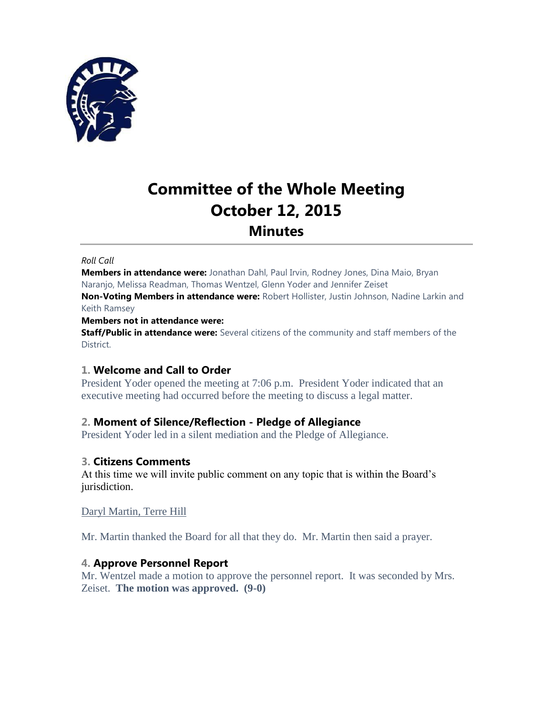

# **Committee of the Whole Meeting October 12, 2015 Minutes**

#### *Roll Call*

**Members in attendance were:** Jonathan Dahl, Paul Irvin, Rodney Jones, Dina Maio, Bryan Naranjo, Melissa Readman, Thomas Wentzel, Glenn Yoder and Jennifer Zeiset

**Non-Voting Members in attendance were:** Robert Hollister, Justin Johnson, Nadine Larkin and Keith Ramsey

#### **Members not in attendance were:**

**Staff/Public in attendance were:** Several citizens of the community and staff members of the District.

#### **1. Welcome and Call to Order**

President Yoder opened the meeting at 7:06 p.m. President Yoder indicated that an executive meeting had occurred before the meeting to discuss a legal matter.

#### **2. Moment of Silence/Reflection - Pledge of Allegiance**

President Yoder led in a silent mediation and the Pledge of Allegiance.

#### **3. Citizens Comments**

At this time we will invite public comment on any topic that is within the Board's jurisdiction.

Daryl Martin, Terre Hill

Mr. Martin thanked the Board for all that they do. Mr. Martin then said a prayer.

#### **4. Approve Personnel Report**

Mr. Wentzel made a motion to approve the personnel report. It was seconded by Mrs. Zeiset. **The motion was approved. (9-0)**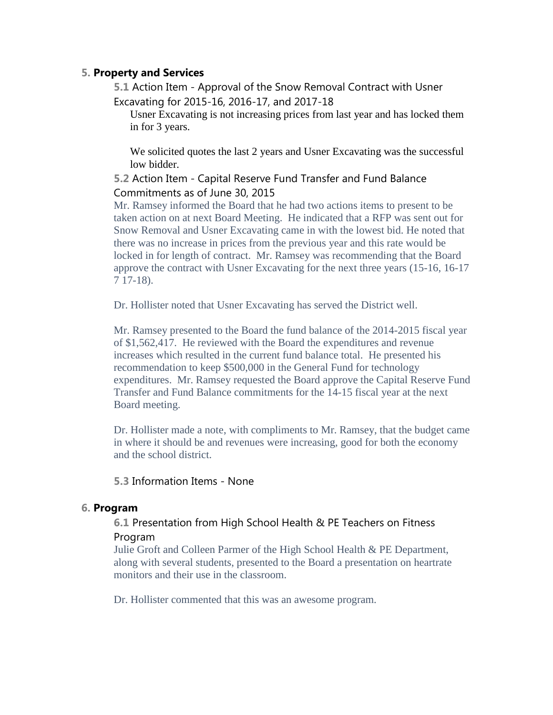## **5. Property and Services**

**5.1** Action Item - Approval of the Snow Removal Contract with Usner Excavating for 2015-16, 2016-17, and 2017-18

Usner Excavating is not increasing prices from last year and has locked them in for 3 years.

We solicited quotes the last 2 years and Usner Excavating was the successful low bidder.

### **5.2** Action Item - Capital Reserve Fund Transfer and Fund Balance Commitments as of June 30, 2015

Mr. Ramsey informed the Board that he had two actions items to present to be taken action on at next Board Meeting. He indicated that a RFP was sent out for Snow Removal and Usner Excavating came in with the lowest bid. He noted that there was no increase in prices from the previous year and this rate would be locked in for length of contract. Mr. Ramsey was recommending that the Board approve the contract with Usner Excavating for the next three years (15-16, 16-17 7 17-18).

Dr. Hollister noted that Usner Excavating has served the District well.

Mr. Ramsey presented to the Board the fund balance of the 2014-2015 fiscal year of \$1,562,417. He reviewed with the Board the expenditures and revenue increases which resulted in the current fund balance total. He presented his recommendation to keep \$500,000 in the General Fund for technology expenditures. Mr. Ramsey requested the Board approve the Capital Reserve Fund Transfer and Fund Balance commitments for the 14-15 fiscal year at the next Board meeting.

Dr. Hollister made a note, with compliments to Mr. Ramsey, that the budget came in where it should be and revenues were increasing, good for both the economy and the school district.

**5.3** Information Items - None

#### **6. Program**

## **6.1** Presentation from High School Health & PE Teachers on Fitness Program

Julie Groft and Colleen Parmer of the High School Health & PE Department, along with several students, presented to the Board a presentation on heartrate monitors and their use in the classroom.

Dr. Hollister commented that this was an awesome program.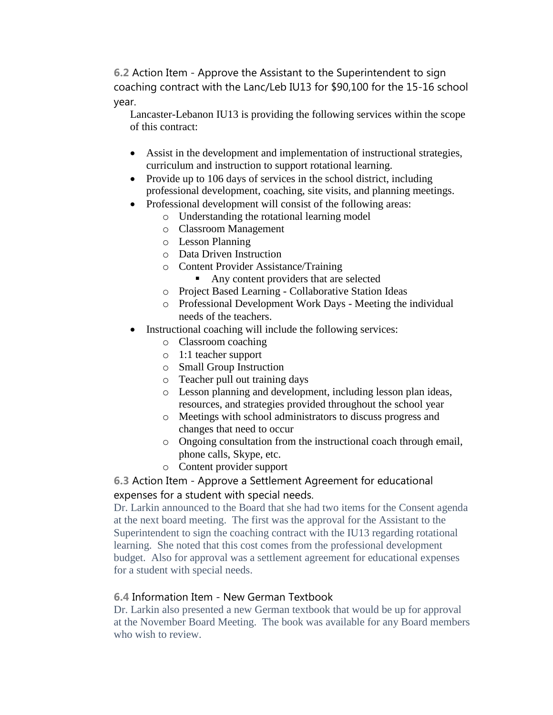**6.2** Action Item - Approve the Assistant to the Superintendent to sign coaching contract with the Lanc/Leb IU13 for \$90,100 for the 15-16 school year.

Lancaster-Lebanon IU13 is providing the following services within the scope of this contract:

- Assist in the development and implementation of instructional strategies, curriculum and instruction to support rotational learning.
- Provide up to 106 days of services in the school district, including professional development, coaching, site visits, and planning meetings.
- Professional development will consist of the following areas:
	- o Understanding the rotational learning model
	- o Classroom Management
	- o Lesson Planning
	- o Data Driven Instruction
	- o Content Provider Assistance/Training
		- Any content providers that are selected
	- o Project Based Learning Collaborative Station Ideas
	- o Professional Development Work Days Meeting the individual needs of the teachers.
- Instructional coaching will include the following services:
	- o Classroom coaching
	- o 1:1 teacher support
	- o Small Group Instruction
	- o Teacher pull out training days
	- o Lesson planning and development, including lesson plan ideas, resources, and strategies provided throughout the school year
	- o Meetings with school administrators to discuss progress and changes that need to occur
	- o Ongoing consultation from the instructional coach through email, phone calls, Skype, etc.
	- o Content provider support

# **6.3** Action Item - Approve a Settlement Agreement for educational expenses for a student with special needs.

Dr. Larkin announced to the Board that she had two items for the Consent agenda at the next board meeting. The first was the approval for the Assistant to the Superintendent to sign the coaching contract with the IU13 regarding rotational learning. She noted that this cost comes from the professional development budget. Also for approval was a settlement agreement for educational expenses for a student with special needs.

# **6.4** Information Item - New German Textbook

Dr. Larkin also presented a new German textbook that would be up for approval at the November Board Meeting. The book was available for any Board members who wish to review.